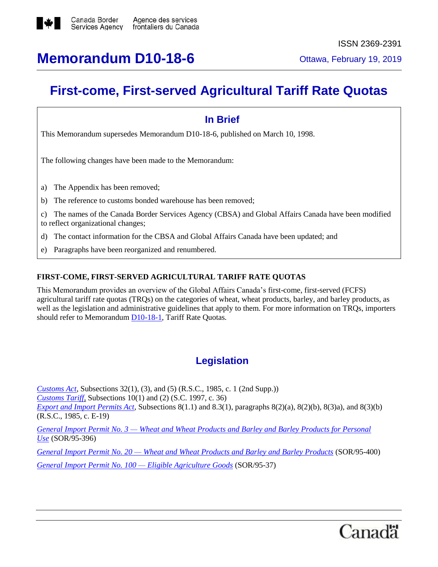

## **Memorandum D10-18-6** Ottawa, February 19, 2019

## **First-come, First-served Agricultural Tariff Rate Quotas**

# **In Brief** This Memorandum supersedes Memorandum D10-18-6, published on March 10, 1998. The following changes have been made to the Memorandum: a) The Appendix has been removed; b) The reference to customs bonded warehouse has been removed; c) The names of the Canada Border Services Agency (CBSA) and Global Affairs Canada have been modified to reflect organizational changes; d) The contact information for the CBSA and Global Affairs Canada have been updated; and

e) Paragraphs have been reorganized and renumbered.

### **FIRST-COME, FIRST-SERVED AGRICULTURAL TARIFF RATE QUOTAS**

This Memorandum provides an overview of the Global Affairs Canada's first-come, first-served (FCFS) agricultural tariff rate quotas (TRQs) on the categories of wheat, wheat products, barley, and barley products, as well as the legislation and administrative guidelines that apply to them. For more information on TRQs, importers should refer to Memorandum [D10-18-1,](http://www.cbsa-asfc.gc.ca/publications/dm-md/d10/d10-18-1-eng.html) Tariff Rate Quotas*.*

### **Legislation**

*[Customs Act](http://laws-lois.justice.gc.ca/eng/acts/C-52.6/)*, Subsections 32(1), (3), and (5) (R.S.C., 1985, c. 1 (2nd Supp.)) *[Customs Tariff,](https://www.cbsa-asfc.gc.ca/trade-commerce/tariff-tarif/2018/menu-eng.html)* Subsections 10(1) and (2) (S.C. 1997, c. 36) *[Export and Import Permits Act,](https://laws-lois.justice.gc.ca/eng/acts/E-19/index.html)* Subsections 8(1.1) and 8.3(1), paragraphs 8(2)(a), 8(2)(b), 8(3)a), and 8(3)(b) (R.S.C., 1985, c. E-19) *General Import Permit No. 3 — [Wheat and Wheat Products and Barley and](http://laws-lois.justice.gc.ca/eng/regulations/SOR-95-396/index.html) Barley Products for Personal [Use](http://laws-lois.justice.gc.ca/eng/regulations/SOR-95-396/index.html)* (SOR/95-396)

*General Import Permit No. 20 — [Wheat and Wheat Products and Barley and Barley Products](http://laws-lois.justice.gc.ca/eng/regulations/SOR-95-400/index.html)* (SOR/95-400) *[General Import Permit No. 100 —](http://laws-lois.justice.gc.ca/eng/regulations/SOR-95-37/index.html) Eligible Agriculture Goods* (SOR/95-37)

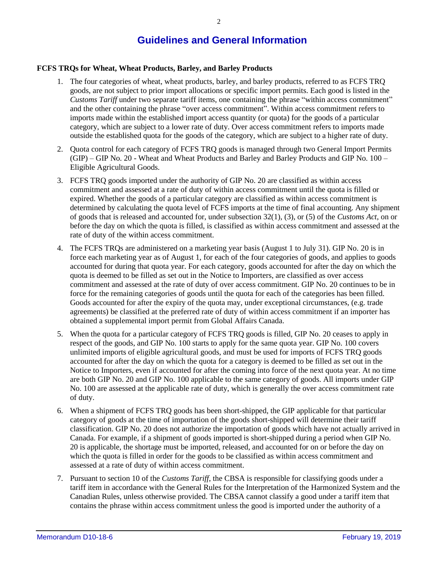### **Guidelines and General Information**

#### **FCFS TRQs for Wheat, Wheat Products, Barley, and Barley Products**

- 1. The four categories of wheat, wheat products, barley, and barley products, referred to as FCFS TRQ goods, are not subject to prior import allocations or specific import permits. Each good is listed in the *Customs Tariff* under two separate tariff items, one containing the phrase "within access commitment" and the other containing the phrase "over access commitment". Within access commitment refers to imports made within the established import access quantity (or quota) for the goods of a particular category, which are subject to a lower rate of duty. Over access commitment refers to imports made outside the established quota for the goods of the category, which are subject to a higher rate of duty.
- 2. Quota control for each category of FCFS TRQ goods is managed through two General Import Permits (GIP) – GIP No. 20 - Wheat and Wheat Products and Barley and Barley Products and GIP No. 100 – Eligible Agricultural Goods.
- 3. FCFS TRQ goods imported under the authority of GIP No. 20 are classified as within access commitment and assessed at a rate of duty of within access commitment until the quota is filled or expired. Whether the goods of a particular category are classified as within access commitment is determined by calculating the quota level of FCFS imports at the time of final accounting. Any shipment of goods that is released and accounted for, under subsection 32(1), (3), or (5) of the *Customs Act*, on or before the day on which the quota is filled, is classified as within access commitment and assessed at the rate of duty of the within access commitment.
- 4. The FCFS TRQs are administered on a marketing year basis (August 1 to July 31). GIP No. 20 is in force each marketing year as of August 1, for each of the four categories of goods, and applies to goods accounted for during that quota year. For each category, goods accounted for after the day on which the quota is deemed to be filled as set out in the Notice to Importers, are classified as over access commitment and assessed at the rate of duty of over access commitment. GIP No. 20 continues to be in force for the remaining categories of goods until the quota for each of the categories has been filled. Goods accounted for after the expiry of the quota may, under exceptional circumstances, (e.g. trade agreements) be classified at the preferred rate of duty of within access commitment if an importer has obtained a supplemental import permit from Global Affairs Canada.
- 5. When the quota for a particular category of FCFS TRQ goods is filled, GIP No. 20 ceases to apply in respect of the goods, and GIP No. 100 starts to apply for the same quota year. GIP No. 100 covers unlimited imports of eligible agricultural goods, and must be used for imports of FCFS TRQ goods accounted for after the day on which the quota for a category is deemed to be filled as set out in the Notice to Importers, even if accounted for after the coming into force of the next quota year. At no time are both GIP No. 20 and GIP No. 100 applicable to the same category of goods. All imports under GIP No. 100 are assessed at the applicable rate of duty, which is generally the over access commitment rate of duty.
- 6. When a shipment of FCFS TRQ goods has been short-shipped, the GIP applicable for that particular category of goods at the time of importation of the goods short-shipped will determine their tariff classification. GIP No. 20 does not authorize the importation of goods which have not actually arrived in Canada. For example, if a shipment of goods imported is short-shipped during a period when GIP No. 20 is applicable, the shortage must be imported, released, and accounted for on or before the day on which the quota is filled in order for the goods to be classified as within access commitment and assessed at a rate of duty of within access commitment.
- 7. Pursuant to section 10 of the *Customs Tariff*, the CBSA is responsible for classifying goods under a tariff item in accordance with the General Rules for the Interpretation of the Harmonized System and the Canadian Rules, unless otherwise provided. The CBSA cannot classify a good under a tariff item that contains the phrase within access commitment unless the good is imported under the authority of a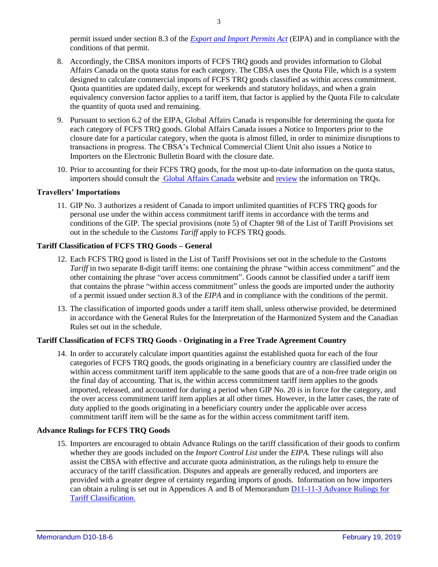permit issued under section 8.3 of the *[Export and Import Permits Act](https://laws-lois.justice.gc.ca/eng/acts/E-19/index.html)* (EIPA) and in compliance with the conditions of that permit.

- 8. Accordingly, the CBSA monitors imports of FCFS TRQ goods and provides information to Global Affairs Canada on the quota status for each category. The CBSA uses the Quota File, which is a system designed to calculate commercial imports of FCFS TRQ goods classified as within access commitment. Quota quantities are updated daily, except for weekends and statutory holidays, and when a grain equivalency conversion factor applies to a tariff item, that factor is applied by the Quota File to calculate the quantity of quota used and remaining.
- 9. Pursuant to section 6.2 of the EIPA, Global Affairs Canada is responsible for determining the quota for each category of FCFS TRQ goods. Global Affairs Canada issues a Notice to Importers prior to the closure date for a particular category, when the quota is almost filled, in order to minimize disruptions to transactions in progress. The CBSA's Technical Commercial Client Unit also issues a Notice to Importers on the Electronic Bulletin Board with the closure date.
- 10. Prior to accounting for their FCFS TRQ goods, for the most up-to-date information on the quota status, importers should consult the [Global Affairs Canada](http://www.international.gc.ca/controls-controles/prod/agri/index.aspx?lang=eng) website an[d review](http://review/) the information on TRQs.

#### **Travellers' Importations**

11. GIP No. 3 authorizes a resident of Canada to import unlimited quantities of FCFS TRQ goods for personal use under the within access commitment tariff items in accordance with the terms and conditions of the GIP. The special provisions (note 5) of Chapter 98 of the List of Tariff Provisions set out in the schedule to the *Customs Tariff* apply to FCFS TRQ goods.

#### **Tariff Classification of FCFS TRQ Goods – General**

- 12. Each FCFS TRQ good is listed in the List of Tariff Provisions set out in the schedule to the *Customs Tariff* in two separate 8-digit tariff items: one containing the phrase "within access commitment" and the other containing the phrase "over access commitment". Goods cannot be classified under a tariff item that contains the phrase "within access commitment" unless the goods are imported under the authority of a permit issued under section 8.3 of the *EIPA* and in compliance with the conditions of the permit.
- 13. The classification of imported goods under a tariff item shall, unless otherwise provided, be determined in accordance with the General Rules for the Interpretation of the Harmonized System and the Canadian Rules set out in the schedule.

#### **Tariff Classification of FCFS TRQ Goods - Originating in a Free Trade Agreement Country**

14. In order to accurately calculate import quantities against the established quota for each of the four categories of FCFS TRQ goods, the goods originating in a beneficiary country are classified under the within access commitment tariff item applicable to the same goods that are of a non-free trade origin on the final day of accounting. That is, the within access commitment tariff item applies to the goods imported, released, and accounted for during a period when GIP No. 20 is in force for the category, and the over access commitment tariff item applies at all other times. However, in the latter cases, the rate of duty applied to the goods originating in a beneficiary country under the applicable over access commitment tariff item will be the same as for the within access commitment tariff item.

#### **Advance Rulings for FCFS TRQ Goods**

15. Importers are encouraged to obtain Advance Rulings on the tariff classification of their goods to confirm whether they are goods included on the *Import Control List* under the *EIPA*. These rulings will also assist the CBSA with effective and accurate quota administration, as the rulings help to ensure the accuracy of the tariff classification. Disputes and appeals are generally reduced, and importers are provided with a greater degree of certainty regarding imports of goods. Information on how importers can obtain a ruling is set out in Appendices A and B of Memorandum [D11-11-3 Advance Rulings for](http://www.cbsa-asfc.gc.ca/publications/dm-md/d11/d11-11-3-eng.html)  [Tariff Classification.](http://www.cbsa-asfc.gc.ca/publications/dm-md/d11/d11-11-3-eng.html)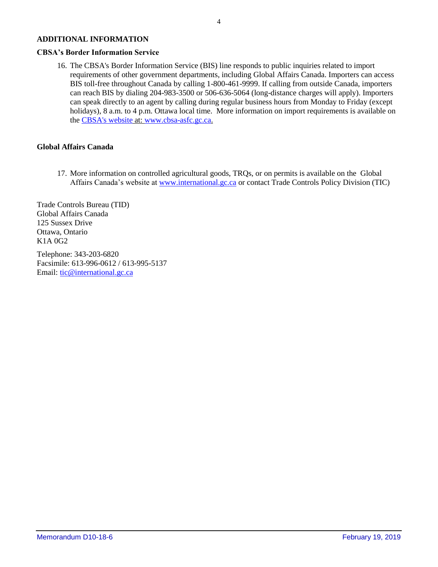#### **ADDITIONAL INFORMATION**

#### **CBSA's Border Information Service**

16. The CBSA's Border Information Service (BIS) line responds to public inquiries related to import requirements of other government departments, including Global Affairs Canada. Importers can access BIS toll-free throughout Canada by calling 1-800-461-9999. If calling from outside Canada, importers can reach BIS by dialing 204-983-3500 or 506-636-5064 (long-distance charges will apply). Importers can speak directly to an agent by calling during regular business hours from Monday to Friday (except holidays), 8 a.m. to 4 p.m. Ottawa local time. More information on import requirements is available on the [CBSA's website](http://www.cbsa-asfc.gc.ca/menu-eng.html) at: [www.cbsa-asfc.gc.ca.](http://www.cbsa-asfc.gc.ca/)

#### **Global Affairs Canada**

17. More information on controlled agricultural goods, TRQs, or on permits is available on the Global Affairs Canada's website at [www.international.gc.ca](http://www.international.gc.ca/) or contact Trade Controls Policy Division (TIC)

Trade Controls Bureau (TID) Global Affairs Canada 125 Sussex Drive Ottawa, Ontario K1A 0G2

Telephone: 343-203-6820 Facsimile: 613-996-0612 / 613-995-5137 Email: [tic@international.gc.ca](mailto:tic@international.gc.ca)